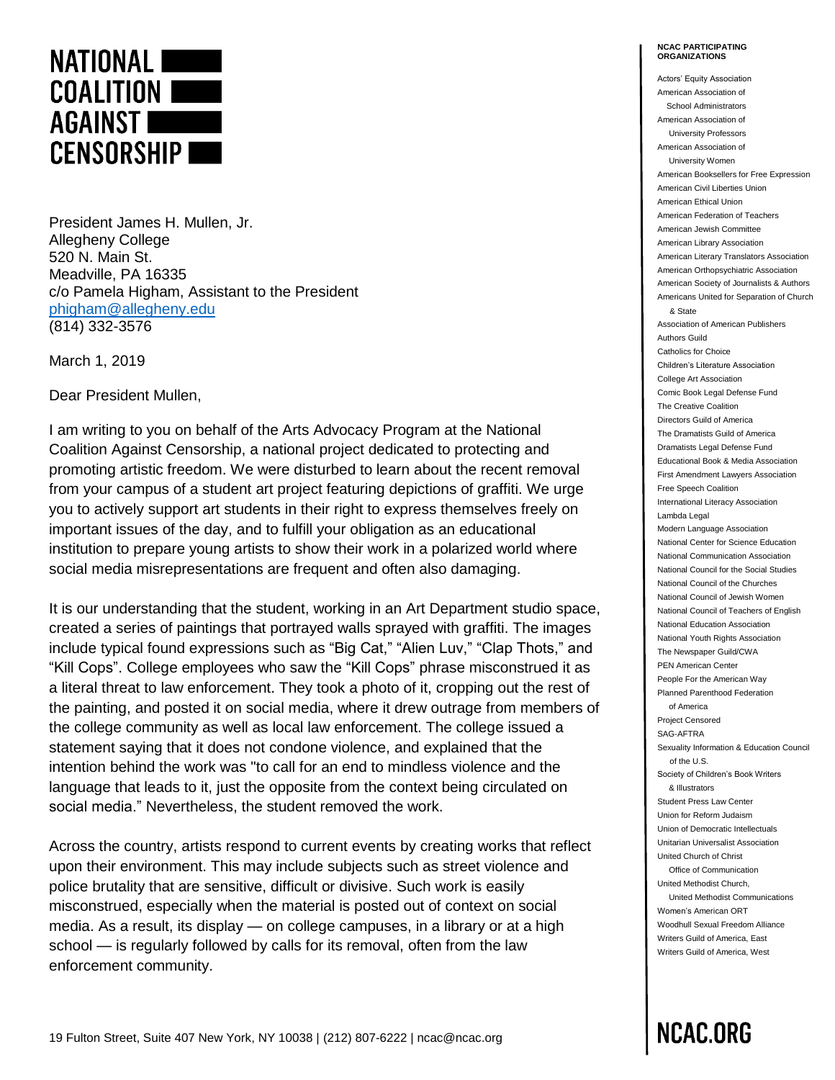

President James H. Mullen, Jr. Allegheny College 520 N. Main St. Meadville, PA 16335 c/o Pamela Higham, Assistant to the President [phigham@allegheny.edu](mailto:phigham@allegheny.edu)  (814) 332-3576

March 1, 2019

Dear President Mullen,

I am writing to you on behalf of the Arts Advocacy Program at the National Coalition Against Censorship, a national project dedicated to protecting and promoting artistic freedom. We were disturbed to learn about the recent removal from your campus of a student art project featuring depictions of graffiti. We urge you to actively support art students in their right to express themselves freely on important issues of the day, and to fulfill your obligation as an educational institution to prepare young artists to show their work in a polarized world where social media misrepresentations are frequent and often also damaging.

It is our understanding that the student, working in an Art Department studio space, created a series of paintings that portrayed walls sprayed with graffiti. The images include typical found expressions such as "Big Cat," "Alien Luv," "Clap Thots," and "Kill Cops". College employees who saw the "Kill Cops" phrase misconstrued it as a literal threat to law enforcement. They took a photo of it, cropping out the rest of the painting, and posted it on social media, where it drew outrage from members of the college community as well as local law enforcement. The college issued a statement saying that it does not condone violence, and explained that the intention behind the work was "to call for an end to mindless violence and the language that leads to it, just the opposite from the context being circulated on social media." Nevertheless, the student removed the work.

Across the country, artists respond to current events by creating works that reflect upon their environment. This may include subjects such as street violence and police brutality that are sensitive, difficult or divisive. Such work is easily misconstrued, especially when the material is posted out of context on social media. As a result, its display — on college campuses, in a library or at a high school — is regularly followed by calls for its removal, often from the law enforcement community.

**NCAC PARTICIPATING ORGANIZATIONS**

Actors' Equity Association American Association of School Administrators American Association of University Professors American Association of University Women American Booksellers for Free Expression American Civil Liberties Union American Ethical Union American Federation of Teachers American Jewish Committee American Library Association American Literary Translators Association American Orthopsychiatric Association American Society of Journalists & Authors Americans United for Separation of Church & State Association of American Publishers Authors Guild Catholics for Choice Children's Literature Association College Art Association Comic Book Legal Defense Fund The Creative Coalition Directors Guild of America The Dramatists Guild of America Dramatists Legal Defense Fund Educational Book & Media Association First Amendment Lawyers Association Free Speech Coalition International Literacy Association Lambda Legal Modern Language Association National Center for Science Education National Communication Association National Council for the Social Studies National Council of the Churches National Council of Jewish Women National Council of Teachers of English National Education Association National Youth Rights Association The Newspaper Guild/CWA PEN American Center People For the American Way Planned Parenthood Federation of America Project Censored SAG-AFTRA Sexuality Information & Education Council of the U.S. Society of Children's Book Writers & Illustrators Student Press Law Center Union for Reform Judaism Union of Democratic Intellectuals Unitarian Universalist Association United Church of Christ Office of Communication United Methodist Church, United Methodist Communications Women's American ORT Woodhull Sexual Freedom Alliance Writers Guild of America, East Writers Guild of America, West